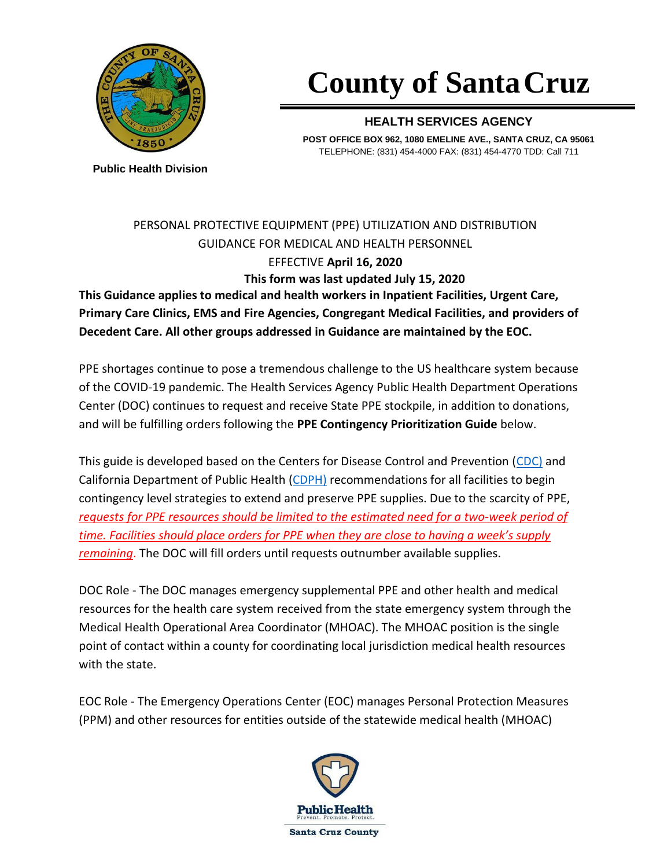

# **County of SantaCruz**

#### **HEALTH SERVICES AGENCY**

**POST OFFICE BOX 962, 1080 EMELINE AVE., SANTA CRUZ, CA 95061** TELEPHONE: (831) 454-4000 FAX: (831) 454-4770 TDD: Call 711

**Public Health Division**

## PERSONAL PROTECTIVE EQUIPMENT (PPE) UTILIZATION AND DISTRIBUTION GUIDANCE FOR MEDICAL AND HEALTH PERSONNEL EFFECTIVE **April 16, 2020 This form was last updated July 15, 2020**

**This Guidance applies to medical and health workers in Inpatient Facilities, Urgent Care, Primary Care Clinics, EMS and Fire Agencies, Congregant Medical Facilities, and providers of Decedent Care. All other groups addressed in Guidance are maintained by the EOC.**

PPE shortages continue to pose a tremendous challenge to the US healthcare system because of the COVID-19 pandemic. The Health Services Agency Public Health Department Operations Center (DOC) continues to request and receive State PPE stockpile, in addition to donations, and will be fulfilling orders following the **PPE Contingency Prioritization Guide** below.

This guide is developed based on the Centers for Disease Control and Prevention [\(CDC\)](https://www.cdc.gov/coronavirus/2019-ncov/hcp/ppe-strategy/index.html) and California Department of Public Health [\(CDPH\)](https://www.cdph.ca.gov/Programs/CHCQ/LCP/Pages/AFL-20-39.aspx) recommendations for all facilities to begin contingency level strategies to extend and preserve PPE supplies. Due to the scarcity of PPE, *requests for PPE resources should be limited to the estimated need for a two-week period of time. Facilities should place orders for PPE when they are close to having a week's supply remaining*. The DOC will fill orders until requests outnumber available supplies.

DOC Role - The DOC manages emergency supplemental PPE and other health and medical resources for the health care system received from the state emergency system through the Medical Health Operational Area Coordinator (MHOAC). The MHOAC position is the single point of contact within a county for coordinating local jurisdiction medical health resources with the state.

EOC Role - The Emergency Operations Center (EOC) manages Personal Protection Measures (PPM) and other resources for entities outside of the statewide medical health (MHOAC)